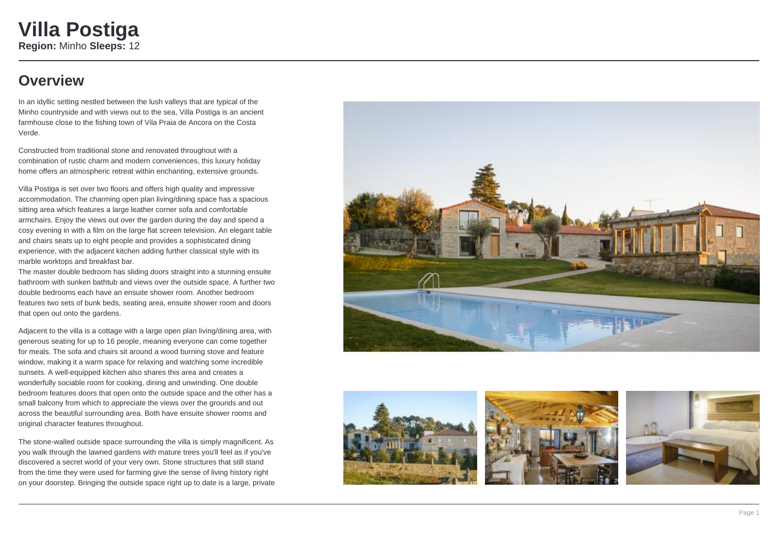### **Overview**

In an idyllic setting nestled between the lush valleys that are typical of the Minho countryside and with views out to the sea, Villa Postiga is an ancient farmhouse close to the fishing town of Vila Praia de Ancora on the Costa Verde.

Constructed from traditional stone and renovated throughout with a combination of rustic charm and modern conveniences, this luxury holiday home offers an atmospheric retreat within enchanting, extensive grounds.

Villa Postiga is set over two floors and offers high quality and impressive accommodation. The charming open plan living/dining space has a spacious sitting area which features a large leather corner sofa and comfortable armchairs. Enjoy the views out over the garden during the day and spend a cosy evening in with a film on the large flat screen television. An elegant table and chairs seats up to eight people and provides a sophisticated dining experience, with the adjacent kitchen adding further classical style with its marble worktops and breakfast bar.

The master double bedroom has sliding doors straight into a stunning ensuite bathroom with sunken bathtub and views over the outside space. A further two double bedrooms each have an ensuite shower room. Another bedroom features two sets of bunk beds, seating area, ensuite shower room and doors that open out onto the gardens.

Adjacent to the villa is a cottage with a large open plan living/dining area, with generous seating for up to 16 people, meaning everyone can come together for meals. The sofa and chairs sit around a wood burning stove and feature window, making it a warm space for relaxing and watching some incredible sunsets. A well-equipped kitchen also shares this area and creates a wonderfully sociable room for cooking, dining and unwinding. One double bedroom features doors that open onto the outside space and the other has a small balcony from which to appreciate the views over the grounds and out across the beautiful surrounding area. Both have ensuite shower rooms and original character features throughout.

The stone-walled outside space surrounding the villa is simply magnificent. As you walk through the lawned gardens with mature trees you'll feel as if you've discovered a secret world of your very own. Stone structures that still stand from the time they were used for farming give the sense of living history right on your doorstep. Bringing the outside space right up to date is a large, private







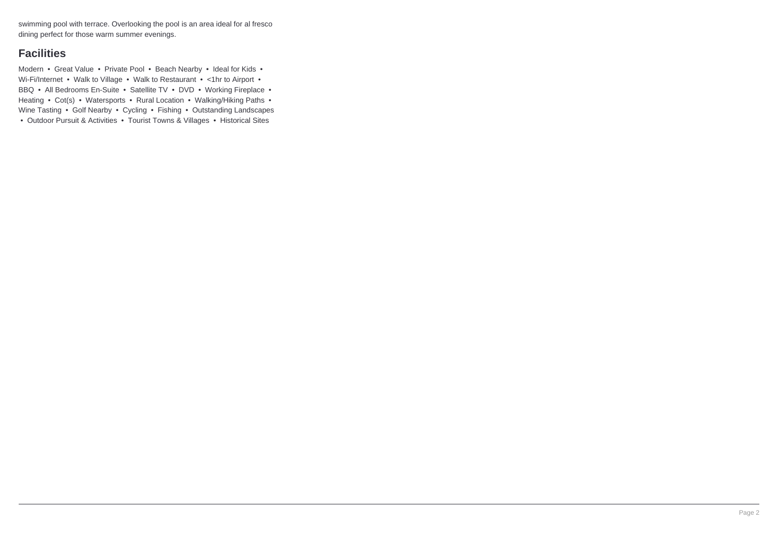swimming pool with terrace. Overlooking the pool is an area ideal for al fresco dining perfect for those warm summer evenings.

### **Facilities**

Modern • Great Value • Private Pool • Beach Nearby • Ideal for Kids • Wi-Fi/Internet • Walk to Village • Walk to Restaurant • <1hr to Airport • BBQ • All Bedrooms En-Suite • Satellite TV • DVD • Working Fireplace • Heating • Cot(s) • Watersports • Rural Location • Walking/Hiking Paths • Wine Tasting • Golf Nearby • Cycling • Fishing • Outstanding Landscapes • Outdoor Pursuit & Activities • Tourist Towns & Villages • Historical Sites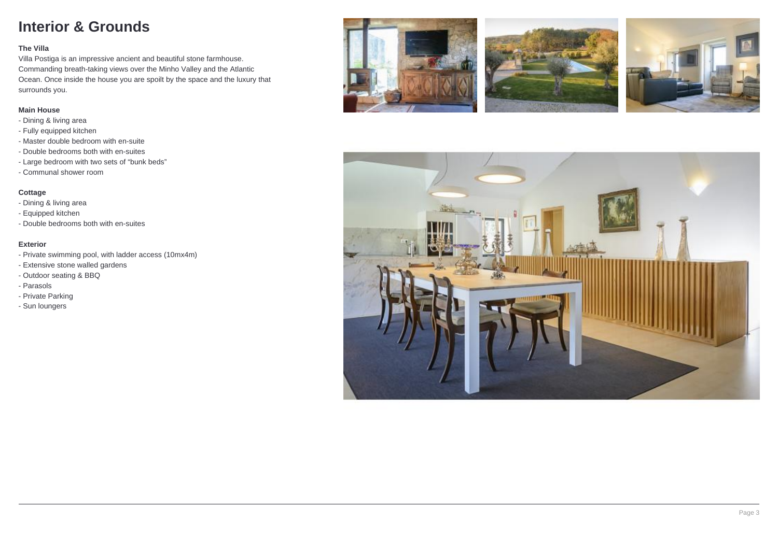## **Interior & Grounds**

#### **The Villa**

Villa Postiga is an impressive ancient and beautiful stone farmhouse. Commanding breath-taking views over the Minho Valley and the Atlantic Ocean. Once inside the house you are spoilt by the space and the luxury that surrounds you.

#### **Main House**

- Dining & living area
- Fully equipped kitchen
- Master double bedroom with en-suite
- Double bedrooms both with en-suites
- Large bedroom with two sets of "bunk beds"
- Communal shower room

#### **Cottage**

- Dining & living area
- Equipped kitchen
- Double bedrooms both with en-suites

#### **Exterior**

- Private swimming pool, with ladder access (10mx4m)
- Extensive stone walled gardens
- Outdoor seating & BBQ
- Parasols
- Private Parking
- Sun loungers







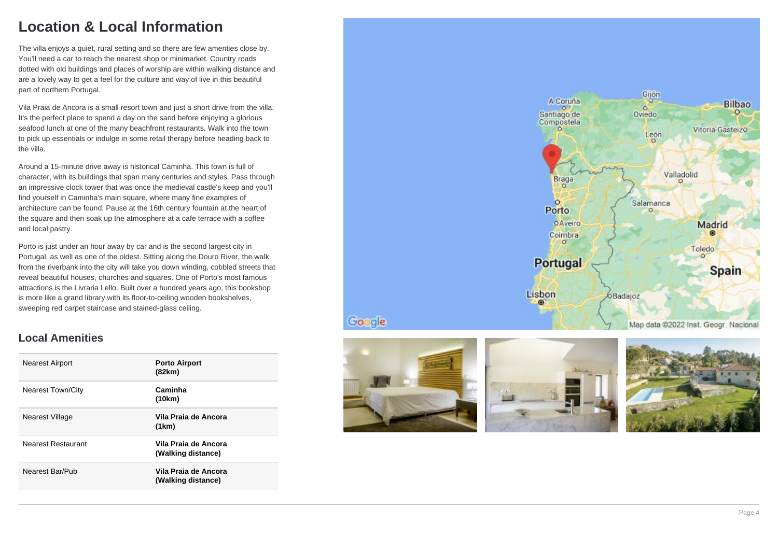## **Location & Local Information**

The villa enjoys a quiet, rural setting and so there are few amenties close by. You'll need a car to reach the nearest shop or minimarket. Country roads dotted with old buildings and places of worship are within walking distance and are a lovely way to get a feel for the culture and way of live in this beautiful part of northern Portugal.

Vila Praia de Ancora is a small resort town and just a short drive from the villa. It's the perfect place to spend a day on the sand before enjoying a glorious seafood lunch at one of the many beachfront restaurants. Walk into the town to pick up essentials or indulge in some retail therapy before heading back to the villa.

Around a 15-minute drive away is historical Caminha. This town is full of character, with its buildings that span many centuries and styles. Pass through an impressive clock tower that was once the medieval castle's keep and you'll find yourself in Caminha's main square, where many fine examples of architecture can be found. Pause at the 16th century fountain at the heart of the square and then soak up the atmosphere at a cafe terrace with a coffee and local pastry.

Porto is just under an hour away by car and is the second largest city in Portugal, as well as one of the oldest. Sitting along the Douro River, the walk from the riverbank into the city will take you down winding, cobbled streets that reveal beautiful houses, churches and squares. One of Porto's most famous attractions is the Livraria Lello. Built over a hundred years ago, this bookshop is more like a grand library with its floor-to-ceiling wooden bookshelves, sweeping red carpet staircase and stained-glass ceiling.

### **Local Amenities**

| <b>Nearest Airport</b>   | <b>Porto Airport</b><br>(82km)             |
|--------------------------|--------------------------------------------|
| <b>Nearest Town/City</b> | Caminha<br>(10km)                          |
| Nearest Village          | Vila Praia de Ancora<br>(1km)              |
| Nearest Restaurant       | Vila Praia de Ancora<br>(Walking distance) |
| Nearest Bar/Pub          | Vila Praia de Ancora<br>(Walking distance) |
|                          |                                            |





Google



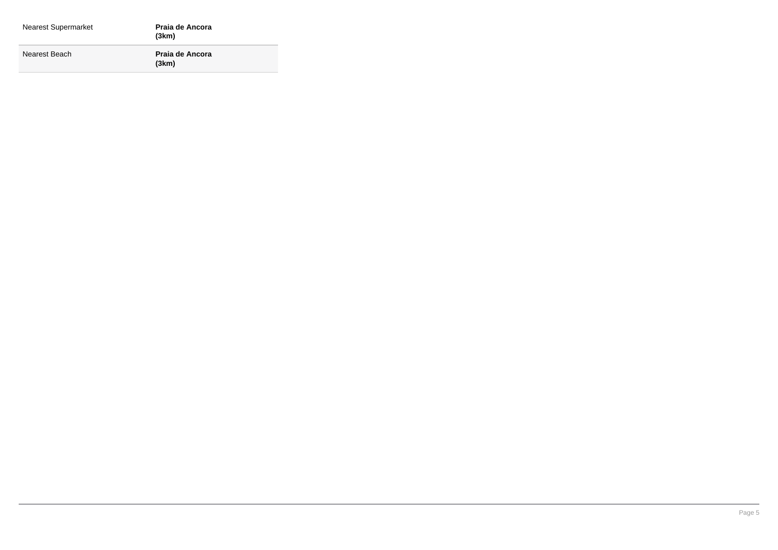| Nearest Supermarket | Praia de Ancora<br>(3km) |
|---------------------|--------------------------|
| Nearest Beach       | Praia de Ancora<br>(3km) |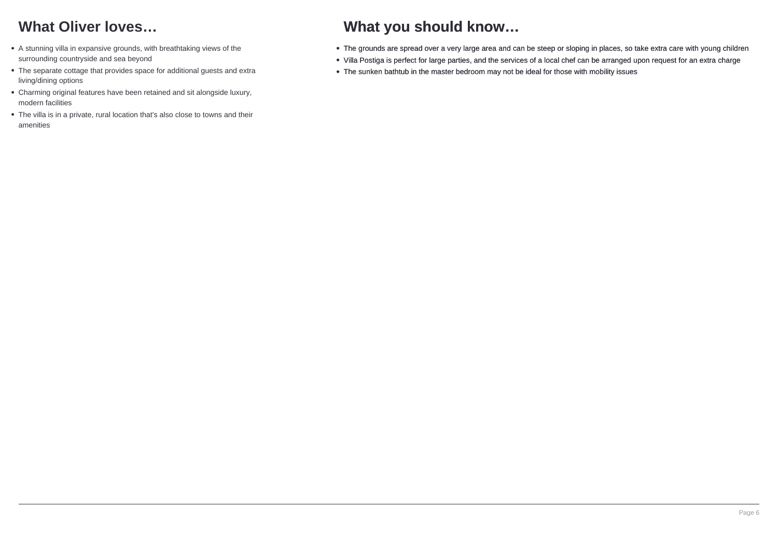# **What Oliver loves…**

- A stunning villa in expansive grounds, with breathtaking views of the surrounding countryside and sea beyond
- The separate cottage that provides space for additional guests and extra living/dining options
- Charming original features have been retained and sit alongside luxury, modern facilities
- The villa is in a private, rural location that's also close to towns and their amenities

# **What you should know…**

- The grounds are spread over a very large area and can be steep or sloping in places, so take extra care with young children
- Villa Postiga is perfect for large parties, and the services of a local chef can be arranged upon request for an extra charge
- The sunken bathtub in the master bedroom may not be ideal for those with mobility issues